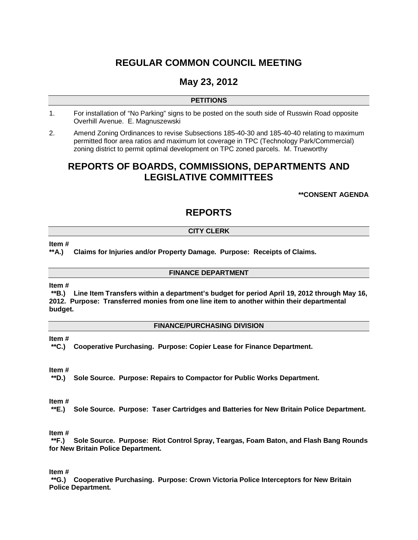# **REGULAR COMMON COUNCIL MEETING**

# **May 23, 2012**

#### **PETITIONS**

- 1. For installation of "No Parking" signs to be posted on the south side of Russwin Road opposite Overhill Avenue. E. Magnuszewski
- 2. Amend Zoning Ordinances to revise Subsections 185-40-30 and 185-40-40 relating to maximum permitted floor area ratios and maximum lot coverage in TPC (Technology Park/Commercial) zoning district to permit optimal development on TPC zoned parcels. M. Trueworthy

## **REPORTS OF BOARDS, COMMISSIONS, DEPARTMENTS AND LEGISLATIVE COMMITTEES**

**\*\*CONSENT AGENDA**

# **REPORTS**

#### **CITY CLERK**

#### **Item #**

#### **\*\*A.) Claims for Injuries and/or Property Damage. Purpose: Receipts of Claims.**

#### **FINANCE DEPARTMENT**

#### **Item #**

**\*\*B.) Line Item Transfers within a department's budget for period April 19, 2012 through May 16, 2012. Purpose: Transferred monies from one line item to another within their departmental budget.** 

#### **FINANCE/PURCHASING DIVISION**

#### **Item #**

**\*\*C.) Cooperative Purchasing. Purpose: Copier Lease for Finance Department.**

#### **Item #**

**\*\*D.) Sole Source. Purpose: Repairs to Compactor for Public Works Department.**

#### **Item #**

**\*\*E.) Sole Source. Purpose: Taser Cartridges and Batteries for New Britain Police Department.**

#### **Item #**

**\*\*F.) Sole Source. Purpose: Riot Control Spray, Teargas, Foam Baton, and Flash Bang Rounds for New Britain Police Department.** 

**Item #**

**\*\*G.) Cooperative Purchasing. Purpose: Crown Victoria Police Interceptors for New Britain Police Department.**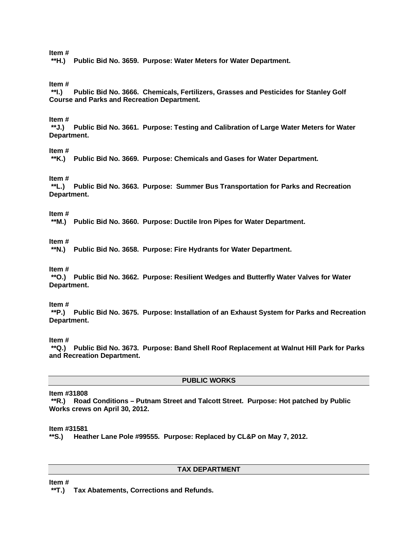**Item #**

**\*\*H.) Public Bid No. 3659. Purpose: Water Meters for Water Department.**

**Item #**

**\*\*I.) Public Bid No. 3666. Chemicals, Fertilizers, Grasses and Pesticides for Stanley Golf Course and Parks and Recreation Department.**

#### **Item #**

**\*\*J.) Public Bid No. 3661. Purpose: Testing and Calibration of Large Water Meters for Water Department.**

**Item #**

**\*\*K.) Public Bid No. 3669. Purpose: Chemicals and Gases for Water Department.**

**Item #**

**\*\*L.) Public Bid No. 3663. Purpose: Summer Bus Transportation for Parks and Recreation Department.**

**Item #**

**\*\*M.) Public Bid No. 3660. Purpose: Ductile Iron Pipes for Water Department.**

**Item #**

**\*\*N.) Public Bid No. 3658. Purpose: Fire Hydrants for Water Department.**

**Item #**

**\*\*O.) Public Bid No. 3662. Purpose: Resilient Wedges and Butterfly Water Valves for Water Department.**

**Item #**

**\*\*P.) Public Bid No. 3675. Purpose: Installation of an Exhaust System for Parks and Recreation Department.**

**Item #**

**\*\*Q.) Public Bid No. 3673. Purpose: Band Shell Roof Replacement at Walnut Hill Park for Parks and Recreation Department.**

#### **PUBLIC WORKS**

**Item #31808**

**\*\*R.) Road Conditions – Putnam Street and Talcott Street. Purpose: Hot patched by Public Works crews on April 30, 2012.** 

**Item #31581**

**\*\*S.) Heather Lane Pole #99555. Purpose: Replaced by CL&P on May 7, 2012.**

#### **TAX DEPARTMENT**

**Item #**

**\*\*T.) Tax Abatements, Corrections and Refunds.**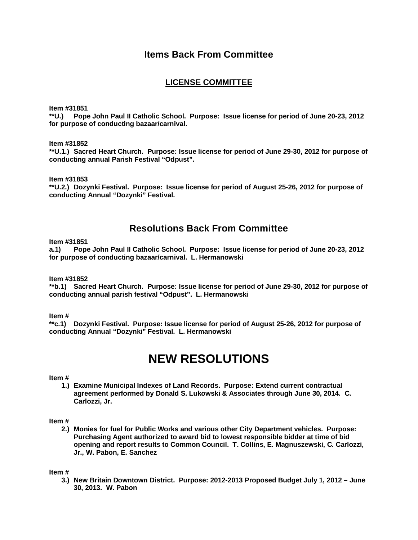### **Items Back From Committee**

### **LICENSE COMMITTEE**

**Item #31851**

**\*\*U.) Pope John Paul II Catholic School. Purpose: Issue license for period of June 20-23, 2012 for purpose of conducting bazaar/carnival.** 

**Item #31852**

**\*\*U.1.) Sacred Heart Church. Purpose: Issue license for period of June 29-30, 2012 for purpose of conducting annual Parish Festival "Odpust".** 

**Item #31853**

**\*\*U.2.) Dozynki Festival. Purpose: Issue license for period of August 25-26, 2012 for purpose of conducting Annual "Dozynki" Festival.** 

### **Resolutions Back From Committee**

**Item #31851**

**a.1) Pope John Paul II Catholic School. Purpose: Issue license for period of June 20-23, 2012 for purpose of conducting bazaar/carnival. L. Hermanowski** 

**Item #31852**

**\*\*b.1) Sacred Heart Church. Purpose: Issue license for period of June 29-30, 2012 for purpose of conducting annual parish festival "Odpust". L. Hermanowski**

**Item #**

**\*\*c.1) Dozynki Festival. Purpose: Issue license for period of August 25-26, 2012 for purpose of conducting Annual "Dozynki" Festival. L. Hermanowski**

# **NEW RESOLUTIONS**

#### **Item #**

**1.) Examine Municipal Indexes of Land Records. Purpose: Extend current contractual agreement performed by Donald S. Lukowski & Associates through June 30, 2014. C. Carlozzi, Jr.**

#### **Item #**

**2.) Monies for fuel for Public Works and various other City Department vehicles. Purpose: Purchasing Agent authorized to award bid to lowest responsible bidder at time of bid opening and report results to Common Council. T. Collins, E. Magnuszewski, C. Carlozzi, Jr., W. Pabon, E. Sanchez**

**Item #**

**3.) New Britain Downtown District. Purpose: 2012-2013 Proposed Budget July 1, 2012 – June 30, 2013. W. Pabon**